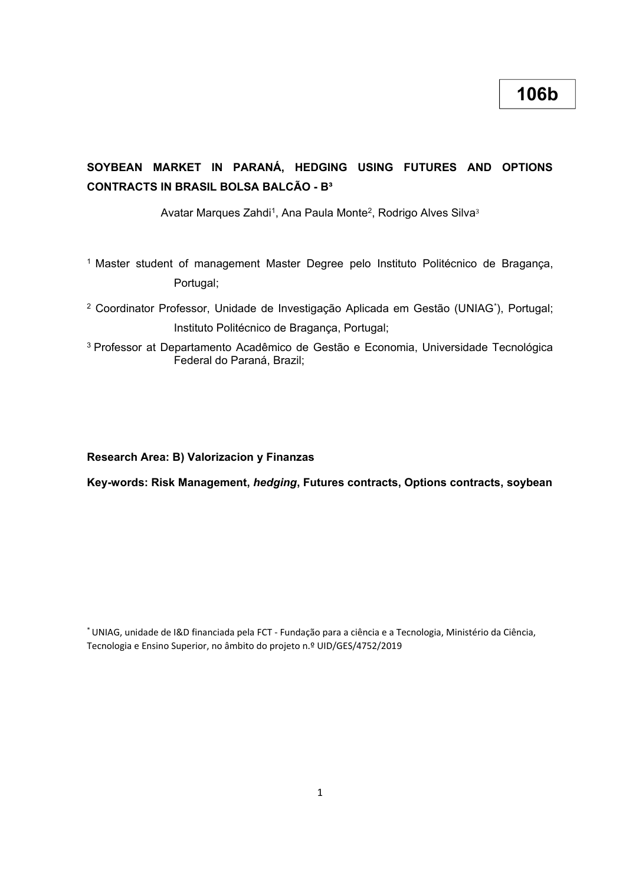# **SOYBEAN MARKET IN PARANÁ, HEDGING USING FUTURES AND OPTIONS CONTRACTS IN BRASIL BOLSA BALCÃO - B³**

Avatar Marques Zahdi<sup>1</sup>, Ana Paula Monte<sup>2</sup>, Rodrigo Alves Silva<sup>3</sup>

- <sup>1</sup> Master student of management Master Degree pelo Instituto Politécnico de Bragança, Portugal;
- <sup>2</sup> Coordinator Professor, Unidade de Investigação Aplicada em Gestão (UNIAG\* ), Portugal; Instituto Politécnico de Bragança, Portugal;
- <sup>3</sup>Professor at Departamento Acadêmico de Gestão e Economia, Universidade Tecnológica Federal do Paraná, Brazil;

#### **Research Area: B) Valorizacion y Finanzas**

**Key-words: Risk Management,** *hedging***, Futures contracts, Options contracts, soybean**

\*UNIAG, unidade de I&D financiada pela FCT - Fundação para a ciência e a Tecnologia, Ministério da Ciência, Tecnologia e Ensino Superior, no âmbito do projeto n.º UID/GES/4752/2019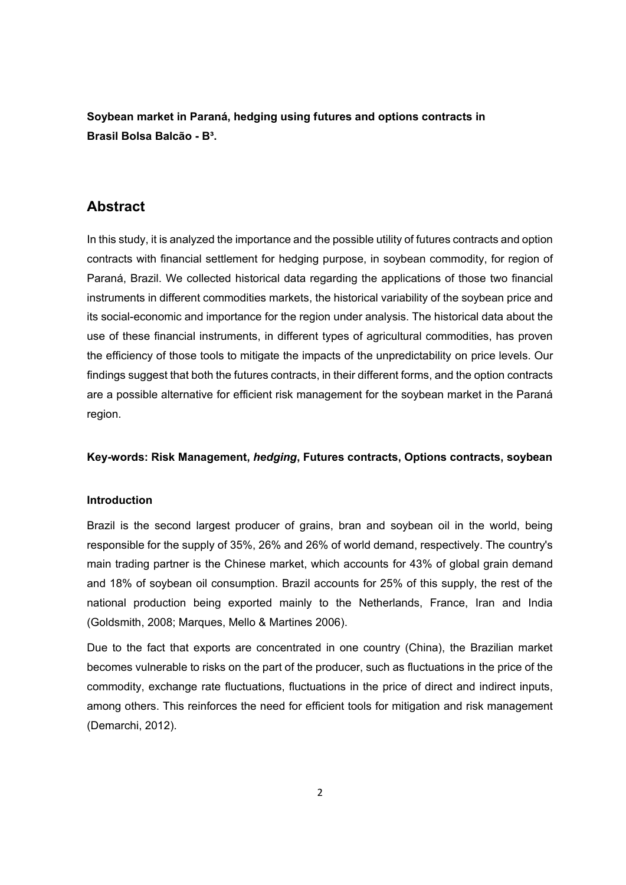**Soybean market in Paraná, hedging using futures and options contracts in Brasil Bolsa Balcão - B³.**

# **Abstract**

In this study, it is analyzed the importance and the possible utility of futures contracts and option contracts with financial settlement for hedging purpose, in soybean commodity, for region of Paraná, Brazil. We collected historical data regarding the applications of those two financial instruments in different commodities markets, the historical variability of the soybean price and its social-economic and importance for the region under analysis. The historical data about the use of these financial instruments, in different types of agricultural commodities, has proven the efficiency of those tools to mitigate the impacts of the unpredictability on price levels. Our findings suggest that both the futures contracts, in their different forms, and the option contracts are a possible alternative for efficient risk management for the soybean market in the Paraná region.

## **Key-words: Risk Management,** *hedging***, Futures contracts, Options contracts, soybean**

# **Introduction**

Brazil is the second largest producer of grains, bran and soybean oil in the world, being responsible for the supply of 35%, 26% and 26% of world demand, respectively. The country's main trading partner is the Chinese market, which accounts for 43% of global grain demand and 18% of soybean oil consumption. Brazil accounts for 25% of this supply, the rest of the national production being exported mainly to the Netherlands, France, Iran and India (Goldsmith, 2008; Marques, Mello & Martines 2006).

Due to the fact that exports are concentrated in one country (China), the Brazilian market becomes vulnerable to risks on the part of the producer, such as fluctuations in the price of the commodity, exchange rate fluctuations, fluctuations in the price of direct and indirect inputs, among others. This reinforces the need for efficient tools for mitigation and risk management (Demarchi, 2012).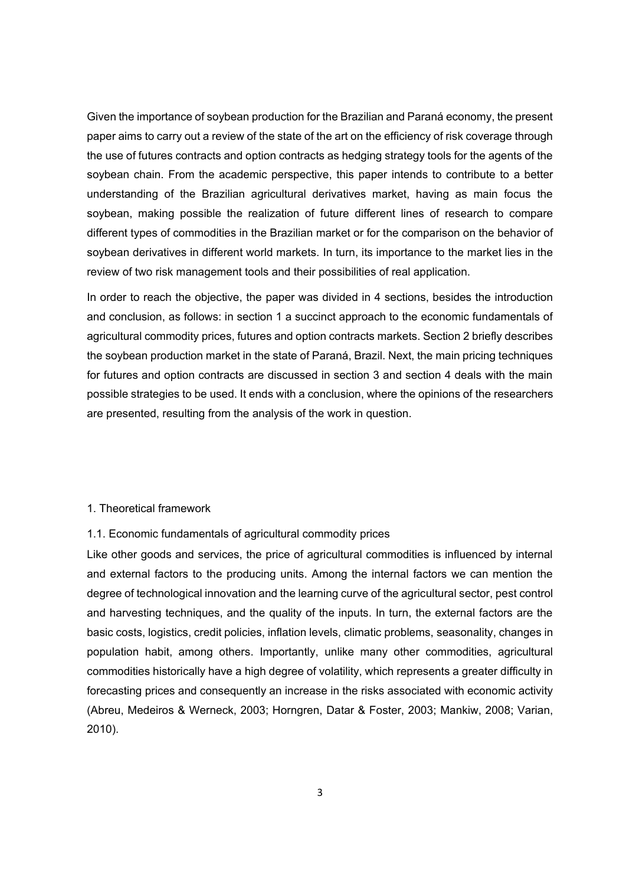Given the importance of soybean production for the Brazilian and Paraná economy, the present paper aims to carry out a review of the state of the art on the efficiency of risk coverage through the use of futures contracts and option contracts as hedging strategy tools for the agents of the soybean chain. From the academic perspective, this paper intends to contribute to a better understanding of the Brazilian agricultural derivatives market, having as main focus the soybean, making possible the realization of future different lines of research to compare different types of commodities in the Brazilian market or for the comparison on the behavior of soybean derivatives in different world markets. In turn, its importance to the market lies in the review of two risk management tools and their possibilities of real application.

In order to reach the objective, the paper was divided in 4 sections, besides the introduction and conclusion, as follows: in section 1 a succinct approach to the economic fundamentals of agricultural commodity prices, futures and option contracts markets. Section 2 briefly describes the soybean production market in the state of Paraná, Brazil. Next, the main pricing techniques for futures and option contracts are discussed in section 3 and section 4 deals with the main possible strategies to be used. It ends with a conclusion, where the opinions of the researchers are presented, resulting from the analysis of the work in question.

#### 1. Theoretical framework

#### 1.1. Economic fundamentals of agricultural commodity prices

Like other goods and services, the price of agricultural commodities is influenced by internal and external factors to the producing units. Among the internal factors we can mention the degree of technological innovation and the learning curve of the agricultural sector, pest control and harvesting techniques, and the quality of the inputs. In turn, the external factors are the basic costs, logistics, credit policies, inflation levels, climatic problems, seasonality, changes in population habit, among others. Importantly, unlike many other commodities, agricultural commodities historically have a high degree of volatility, which represents a greater difficulty in forecasting prices and consequently an increase in the risks associated with economic activity (Abreu, Medeiros & Werneck, 2003; Horngren, Datar & Foster, 2003; Mankiw, 2008; Varian, 2010).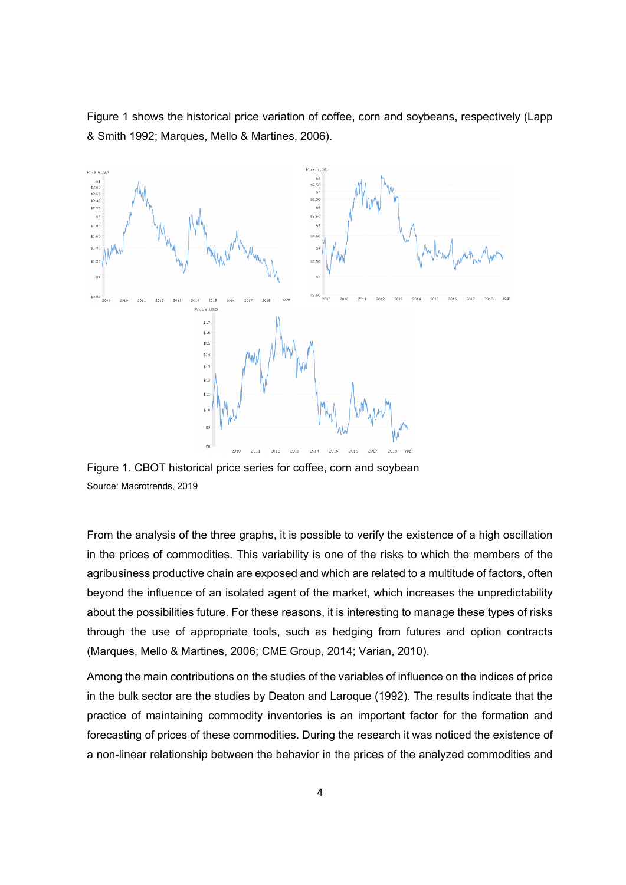Figure 1 shows the historical price variation of coffee, corn and soybeans, respectively (Lapp & Smith 1992; Marques, Mello & Martines, 2006).



Figure 1. CBOT historical price series for coffee, corn and soybean Source: Macrotrends, 2019

From the analysis of the three graphs, it is possible to verify the existence of a high oscillation in the prices of commodities. This variability is one of the risks to which the members of the agribusiness productive chain are exposed and which are related to a multitude of factors, often beyond the influence of an isolated agent of the market, which increases the unpredictability about the possibilities future. For these reasons, it is interesting to manage these types of risks through the use of appropriate tools, such as hedging from futures and option contracts (Marques, Mello & Martines, 2006; CME Group, 2014; Varian, 2010).

Among the main contributions on the studies of the variables of influence on the indices of price in the bulk sector are the studies by Deaton and Laroque (1992). The results indicate that the practice of maintaining commodity inventories is an important factor for the formation and forecasting of prices of these commodities. During the research it was noticed the existence of a non-linear relationship between the behavior in the prices of the analyzed commodities and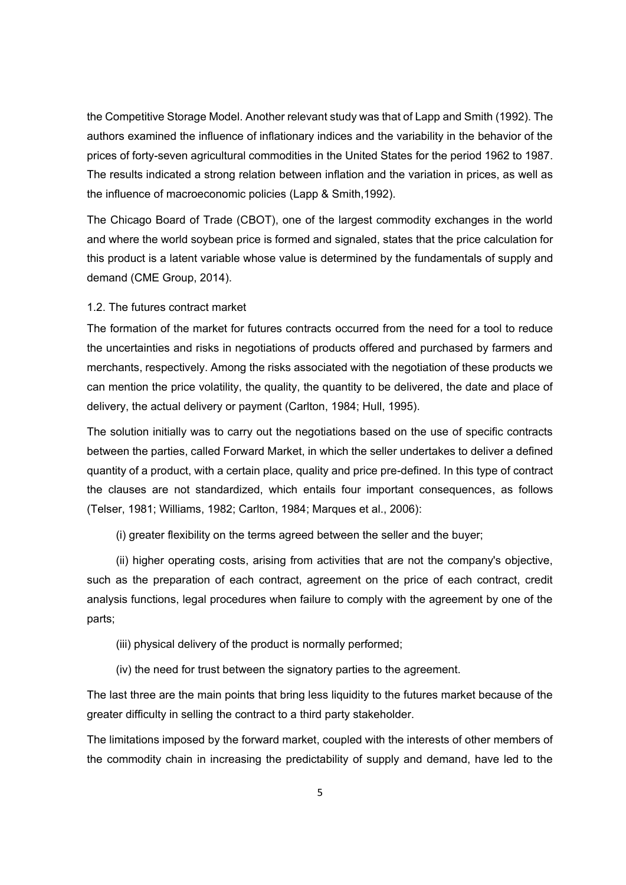the Competitive Storage Model. Another relevant study was that of Lapp and Smith (1992). The authors examined the influence of inflationary indices and the variability in the behavior of the prices of forty-seven agricultural commodities in the United States for the period 1962 to 1987. The results indicated a strong relation between inflation and the variation in prices, as well as the influence of macroeconomic policies (Lapp & Smith,1992).

The Chicago Board of Trade (CBOT), one of the largest commodity exchanges in the world and where the world soybean price is formed and signaled, states that the price calculation for this product is a latent variable whose value is determined by the fundamentals of supply and demand (CME Group, 2014).

1.2. The futures contract market

The formation of the market for futures contracts occurred from the need for a tool to reduce the uncertainties and risks in negotiations of products offered and purchased by farmers and merchants, respectively. Among the risks associated with the negotiation of these products we can mention the price volatility, the quality, the quantity to be delivered, the date and place of delivery, the actual delivery or payment (Carlton, 1984; Hull, 1995).

The solution initially was to carry out the negotiations based on the use of specific contracts between the parties, called Forward Market, in which the seller undertakes to deliver a defined quantity of a product, with a certain place, quality and price pre-defined. In this type of contract the clauses are not standardized, which entails four important consequences, as follows (Telser, 1981; Williams, 1982; Carlton, 1984; Marques et al., 2006):

(i) greater flexibility on the terms agreed between the seller and the buyer;

(ii) higher operating costs, arising from activities that are not the company's objective, such as the preparation of each contract, agreement on the price of each contract, credit analysis functions, legal procedures when failure to comply with the agreement by one of the parts;

(iii) physical delivery of the product is normally performed;

(iv) the need for trust between the signatory parties to the agreement.

The last three are the main points that bring less liquidity to the futures market because of the greater difficulty in selling the contract to a third party stakeholder.

The limitations imposed by the forward market, coupled with the interests of other members of the commodity chain in increasing the predictability of supply and demand, have led to the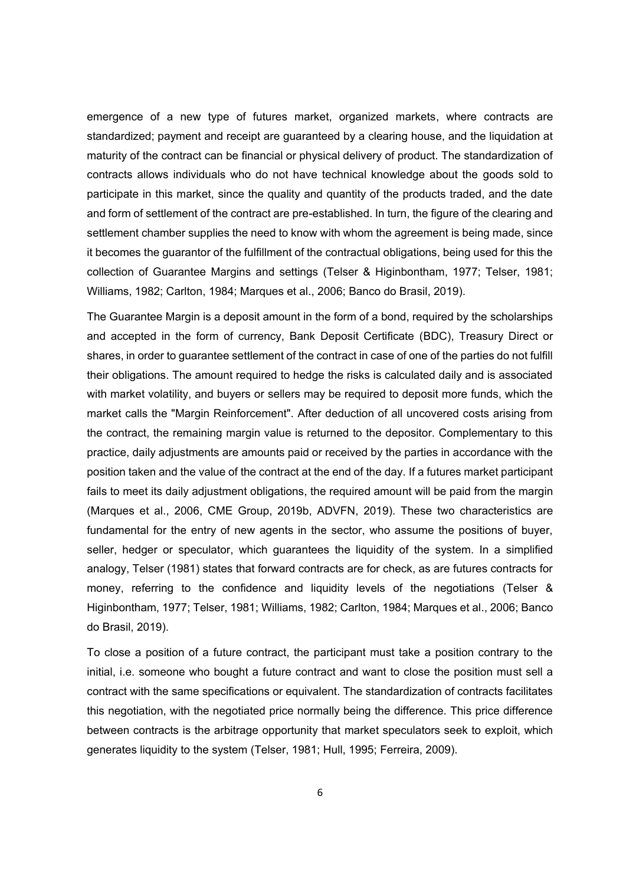emergence of a new type of futures market, organized markets, where contracts are standardized; payment and receipt are guaranteed by a clearing house, and the liquidation at maturity of the contract can be financial or physical delivery of product. The standardization of contracts allows individuals who do not have technical knowledge about the goods sold to participate in this market, since the quality and quantity of the products traded, and the date and form of settlement of the contract are pre-established. In turn, the figure of the clearing and settlement chamber supplies the need to know with whom the agreement is being made, since it becomes the guarantor of the fulfillment of the contractual obligations, being used for this the collection of Guarantee Margins and settings (Telser & Higinbontham, 1977; Telser, 1981; Williams, 1982; Carlton, 1984; Marques et al., 2006; Banco do Brasil, 2019).

The Guarantee Margin is a deposit amount in the form of a bond, required by the scholarships and accepted in the form of currency, Bank Deposit Certificate (BDC), Treasury Direct or shares, in order to guarantee settlement of the contract in case of one of the parties do not fulfill their obligations. The amount required to hedge the risks is calculated daily and is associated with market volatility, and buyers or sellers may be required to deposit more funds, which the market calls the "Margin Reinforcement". After deduction of all uncovered costs arising from the contract, the remaining margin value is returned to the depositor. Complementary to this practice, daily adjustments are amounts paid or received by the parties in accordance with the position taken and the value of the contract at the end of the day. If a futures market participant fails to meet its daily adjustment obligations, the required amount will be paid from the margin (Marques et al., 2006, CME Group, 2019b, ADVFN, 2019). These two characteristics are fundamental for the entry of new agents in the sector, who assume the positions of buyer, seller, hedger or speculator, which guarantees the liquidity of the system. In a simplified analogy, Telser (1981) states that forward contracts are for check, as are futures contracts for money, referring to the confidence and liquidity levels of the negotiations (Telser & Higinbontham, 1977; Telser, 1981; Williams, 1982; Carlton, 1984; Marques et al., 2006; Banco do Brasil, 2019).

To close a position of a future contract, the participant must take a position contrary to the initial, i.e. someone who bought a future contract and want to close the position must sell a contract with the same specifications or equivalent. The standardization of contracts facilitates this negotiation, with the negotiated price normally being the difference. This price difference between contracts is the arbitrage opportunity that market speculators seek to exploit, which generates liquidity to the system (Telser, 1981; Hull, 1995; Ferreira, 2009).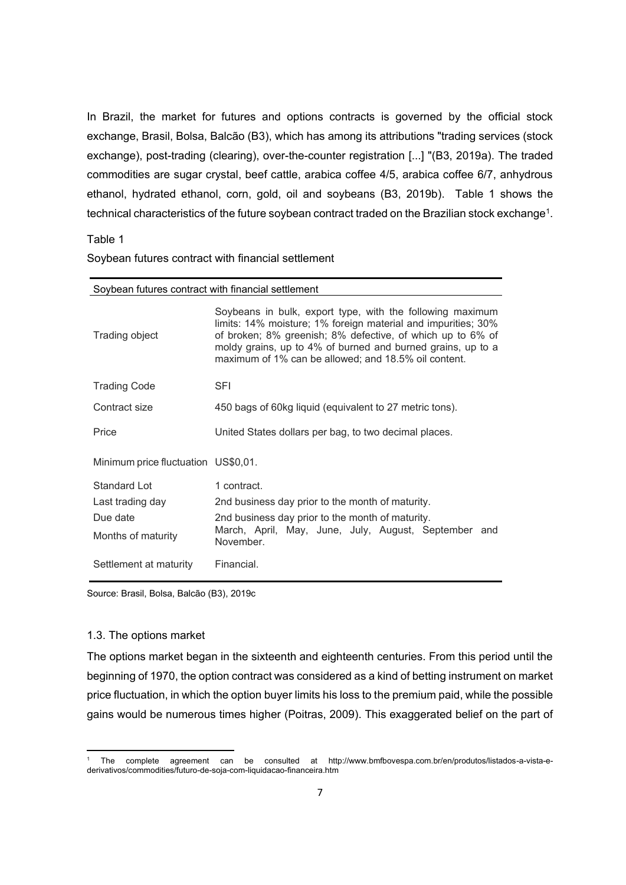In Brazil, the market for futures and options contracts is governed by the official stock exchange, Brasil, Bolsa, Balcão (B3), which has among its attributions "trading services (stock exchange), post-trading (clearing), over-the-counter registration [...] "(B3, 2019a). The traded commodities are sugar crystal, beef cattle, arabica coffee 4/5, arabica coffee 6/7, anhydrous ethanol, hydrated ethanol, corn, gold, oil and soybeans (B3, 2019b). Table 1 shows the technical characteristics of the future soybean contract traded on the Brazilian stock exchange $^{\rm 1}.$ 

Table 1

| Soybean futures contract with financial settlement |                                                                                                                                                                                                                                                                                                                 |  |
|----------------------------------------------------|-----------------------------------------------------------------------------------------------------------------------------------------------------------------------------------------------------------------------------------------------------------------------------------------------------------------|--|
| Trading object                                     | Soybeans in bulk, export type, with the following maximum<br>limits: 14% moisture; 1% foreign material and impurities; 30%<br>of broken; 8% greenish; 8% defective, of which up to 6% of<br>moldy grains, up to 4% of burned and burned grains, up to a<br>maximum of 1% can be allowed; and 18.5% oil content. |  |
| <b>Trading Code</b>                                | <b>SFI</b>                                                                                                                                                                                                                                                                                                      |  |
| Contract size                                      | 450 bags of 60kg liquid (equivalent to 27 metric tons).                                                                                                                                                                                                                                                         |  |
| Price                                              | United States dollars per bag, to two decimal places.                                                                                                                                                                                                                                                           |  |
| Minimum price fluctuation US\$0,01.                |                                                                                                                                                                                                                                                                                                                 |  |
| Standard Lot                                       | 1 contract.                                                                                                                                                                                                                                                                                                     |  |
| Last trading day                                   | 2nd business day prior to the month of maturity.                                                                                                                                                                                                                                                                |  |
| Due date                                           | 2nd business day prior to the month of maturity.                                                                                                                                                                                                                                                                |  |
| Months of maturity                                 | March, April, May, June, July, August, September and<br>November.                                                                                                                                                                                                                                               |  |
| Settlement at maturity                             | Financial.                                                                                                                                                                                                                                                                                                      |  |

Soybean futures contract with financial settlement

Source: Brasil, Bolsa, Balcão (B3), 2019c

#### 1.3. The options market

 $\overline{a}$ 

The options market began in the sixteenth and eighteenth centuries. From this period until the beginning of 1970, the option contract was considered as a kind of betting instrument on market price fluctuation, in which the option buyer limits his loss to the premium paid, while the possible gains would be numerous times higher (Poitras, 2009). This exaggerated belief on the part of

<sup>1</sup> The complete agreement can be consulted at http://www.bmfbovespa.com.br/en/produtos/listados-a-vista-ederivativos/commodities/futuro-de-soja-com-liquidacao-financeira.htm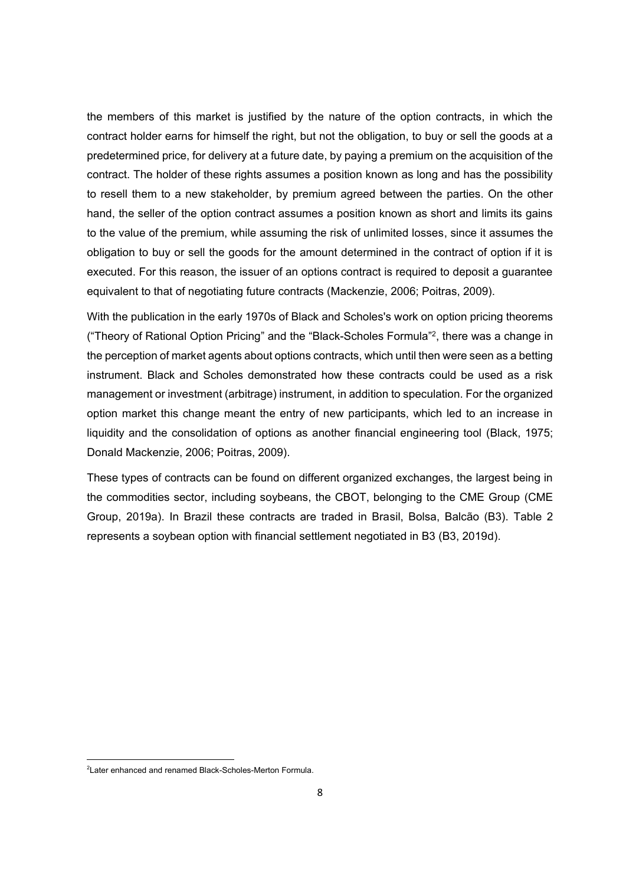the members of this market is justified by the nature of the option contracts, in which the contract holder earns for himself the right, but not the obligation, to buy or sell the goods at a predetermined price, for delivery at a future date, by paying a premium on the acquisition of the contract. The holder of these rights assumes a position known as long and has the possibility to resell them to a new stakeholder, by premium agreed between the parties. On the other hand, the seller of the option contract assumes a position known as short and limits its gains to the value of the premium, while assuming the risk of unlimited losses, since it assumes the obligation to buy or sell the goods for the amount determined in the contract of option if it is executed. For this reason, the issuer of an options contract is required to deposit a guarantee equivalent to that of negotiating future contracts (Mackenzie, 2006; Poitras, 2009).

With the publication in the early 1970s of Black and Scholes's work on option pricing theorems ("Theory of Rational Option Pricing" and the "Black-Scholes Formula" 2 , there was a change in the perception of market agents about options contracts, which until then were seen as a betting instrument. Black and Scholes demonstrated how these contracts could be used as a risk management or investment (arbitrage) instrument, in addition to speculation. For the organized option market this change meant the entry of new participants, which led to an increase in liquidity and the consolidation of options as another financial engineering tool (Black, 1975; Donald Mackenzie, 2006; Poitras, 2009).

These types of contracts can be found on different organized exchanges, the largest being in the commodities sector, including soybeans, the CBOT, belonging to the CME Group (CME Group, 2019a). In Brazil these contracts are traded in Brasil, Bolsa, Balcão (B3). Table 2 represents a soybean option with financial settlement negotiated in B3 (B3, 2019d).

1

<sup>2</sup>Later enhanced and renamed Black-Scholes-Merton Formula.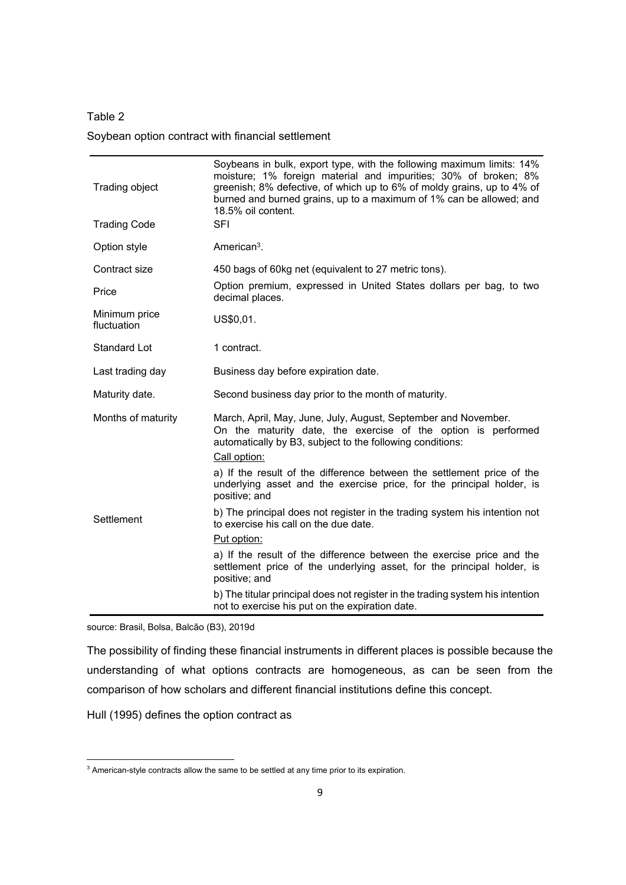Table 2 Soybean option contract with financial settlement

| Trading object               | Soybeans in bulk, export type, with the following maximum limits: 14%<br>moisture; 1% foreign material and impurities; 30% of broken; 8%<br>greenish; 8% defective, of which up to 6% of moldy grains, up to 4% of<br>burned and burned grains, up to a maximum of 1% can be allowed; and<br>18.5% oil content. |  |
|------------------------------|-----------------------------------------------------------------------------------------------------------------------------------------------------------------------------------------------------------------------------------------------------------------------------------------------------------------|--|
| <b>Trading Code</b>          | <b>SFI</b>                                                                                                                                                                                                                                                                                                      |  |
| Option style                 | American <sup>3</sup> .                                                                                                                                                                                                                                                                                         |  |
| Contract size                | 450 bags of 60kg net (equivalent to 27 metric tons).                                                                                                                                                                                                                                                            |  |
| Price                        | Option premium, expressed in United States dollars per bag, to two<br>decimal places.                                                                                                                                                                                                                           |  |
| Minimum price<br>fluctuation | US\$0,01.                                                                                                                                                                                                                                                                                                       |  |
| Standard Lot                 | 1 contract.                                                                                                                                                                                                                                                                                                     |  |
| Last trading day             | Business day before expiration date.                                                                                                                                                                                                                                                                            |  |
| Maturity date.               | Second business day prior to the month of maturity.                                                                                                                                                                                                                                                             |  |
| Months of maturity           | March, April, May, June, July, August, September and November.<br>On the maturity date, the exercise of the option is performed<br>automatically by B3, subject to the following conditions:<br>Call option:                                                                                                    |  |
|                              | a) If the result of the difference between the settlement price of the<br>underlying asset and the exercise price, for the principal holder, is<br>positive; and                                                                                                                                                |  |
| Settlement                   | b) The principal does not register in the trading system his intention not<br>to exercise his call on the due date.                                                                                                                                                                                             |  |
|                              | Put option:                                                                                                                                                                                                                                                                                                     |  |
|                              | a) If the result of the difference between the exercise price and the<br>settlement price of the underlying asset, for the principal holder, is<br>positive; and                                                                                                                                                |  |
|                              | b) The titular principal does not register in the trading system his intention<br>not to exercise his put on the expiration date.                                                                                                                                                                               |  |

source: Brasil, Bolsa, Balcão (B3), 2019d

The possibility of finding these financial instruments in different places is possible because the understanding of what options contracts are homogeneous, as can be seen from the comparison of how scholars and different financial institutions define this concept.

Hull (1995) defines the option contract as

1

 $3$  American-style contracts allow the same to be settled at any time prior to its expiration.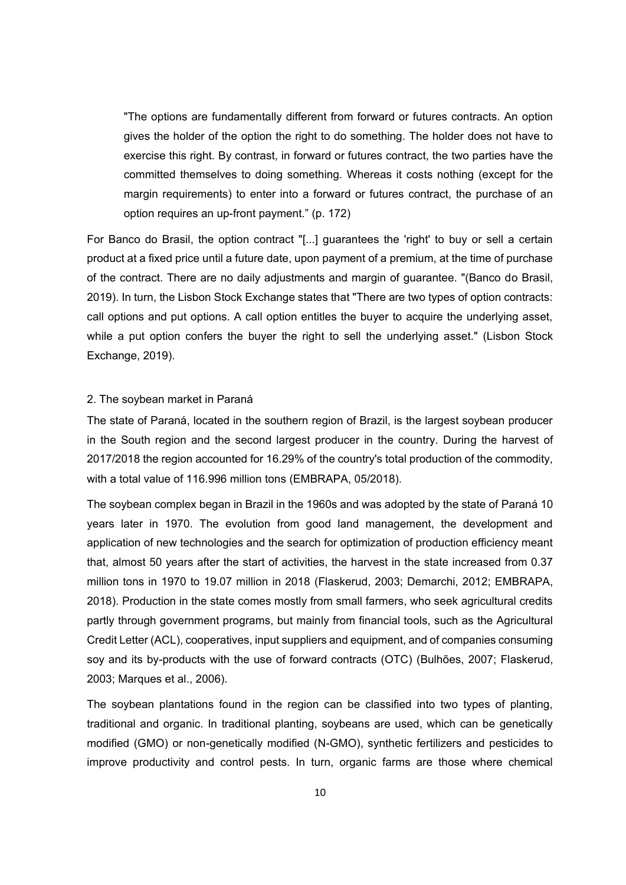"The options are fundamentally different from forward or futures contracts. An option gives the holder of the option the right to do something. The holder does not have to exercise this right. By contrast, in forward or futures contract, the two parties have the committed themselves to doing something. Whereas it costs nothing (except for the margin requirements) to enter into a forward or futures contract, the purchase of an option requires an up-front payment." (p. 172)

For Banco do Brasil, the option contract "[...] guarantees the 'right' to buy or sell a certain product at a fixed price until a future date, upon payment of a premium, at the time of purchase of the contract. There are no daily adjustments and margin of guarantee. "(Banco do Brasil, 2019). In turn, the Lisbon Stock Exchange states that "There are two types of option contracts: call options and put options. A call option entitles the buyer to acquire the underlying asset, while a put option confers the buyer the right to sell the underlying asset." (Lisbon Stock Exchange, 2019).

# 2. The soybean market in Paraná

The state of Paraná, located in the southern region of Brazil, is the largest soybean producer in the South region and the second largest producer in the country. During the harvest of 2017/2018 the region accounted for 16.29% of the country's total production of the commodity, with a total value of 116.996 million tons (EMBRAPA, 05/2018).

The soybean complex began in Brazil in the 1960s and was adopted by the state of Paraná 10 years later in 1970. The evolution from good land management, the development and application of new technologies and the search for optimization of production efficiency meant that, almost 50 years after the start of activities, the harvest in the state increased from 0.37 million tons in 1970 to 19.07 million in 2018 (Flaskerud, 2003; Demarchi, 2012; EMBRAPA, 2018). Production in the state comes mostly from small farmers, who seek agricultural credits partly through government programs, but mainly from financial tools, such as the Agricultural Credit Letter (ACL), cooperatives, input suppliers and equipment, and of companies consuming soy and its by-products with the use of forward contracts (OTC) (Bulhões, 2007; Flaskerud, 2003; Marques et al., 2006).

The soybean plantations found in the region can be classified into two types of planting, traditional and organic. In traditional planting, soybeans are used, which can be genetically modified (GMO) or non-genetically modified (N-GMO), synthetic fertilizers and pesticides to improve productivity and control pests. In turn, organic farms are those where chemical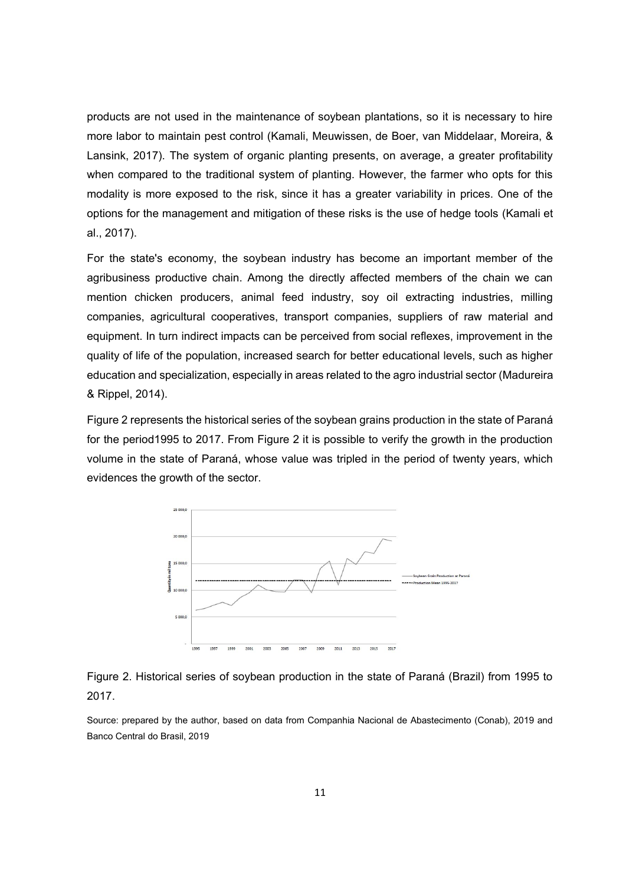products are not used in the maintenance of soybean plantations, so it is necessary to hire more labor to maintain pest control (Kamali, Meuwissen, de Boer, van Middelaar, Moreira, & Lansink, 2017). The system of organic planting presents, on average, a greater profitability when compared to the traditional system of planting. However, the farmer who opts for this modality is more exposed to the risk, since it has a greater variability in prices. One of the options for the management and mitigation of these risks is the use of hedge tools (Kamali et al., 2017).

For the state's economy, the soybean industry has become an important member of the agribusiness productive chain. Among the directly affected members of the chain we can mention chicken producers, animal feed industry, soy oil extracting industries, milling companies, agricultural cooperatives, transport companies, suppliers of raw material and equipment. In turn indirect impacts can be perceived from social reflexes, improvement in the quality of life of the population, increased search for better educational levels, such as higher education and specialization, especially in areas related to the agro industrial sector (Madureira & Rippel, 2014).

Figure 2 represents the historical series of the soybean grains production in the state of Paraná for the period1995 to 2017. From Figure 2 it is possible to verify the growth in the production volume in the state of Paraná, whose value was tripled in the period of twenty years, which evidences the growth of the sector.





Source: prepared by the author, based on data from Companhia Nacional de Abastecimento (Conab), 2019 and Banco Central do Brasil, 2019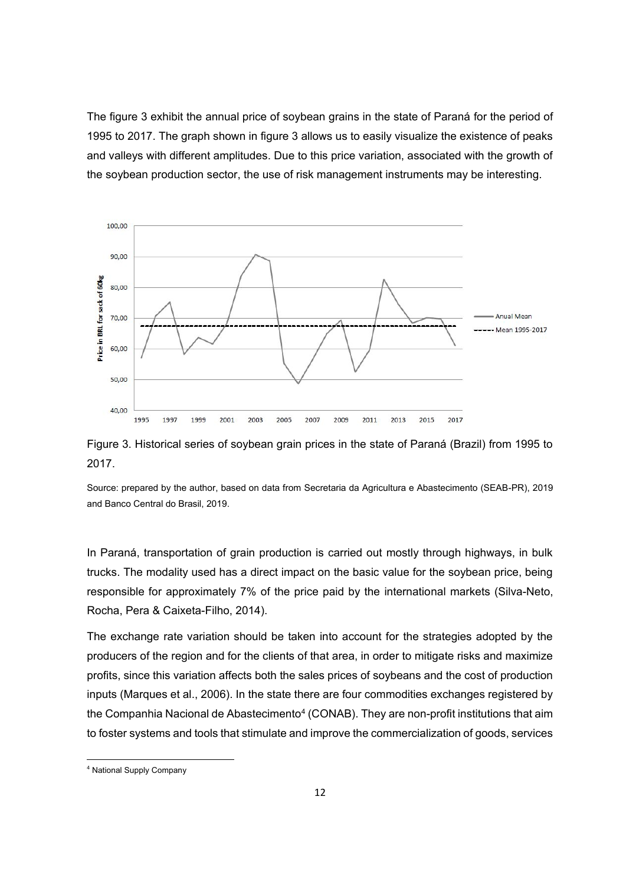The figure 3 exhibit the annual price of soybean grains in the state of Paraná for the period of 1995 to 2017. The graph shown in figure 3 allows us to easily visualize the existence of peaks and valleys with different amplitudes. Due to this price variation, associated with the growth of the soybean production sector, the use of risk management instruments may be interesting.



Figure 3. Historical series of soybean grain prices in the state of Paraná (Brazil) from 1995 to 2017.

Source: prepared by the author, based on data from Secretaria da Agricultura e Abastecimento (SEAB-PR), 2019 and Banco Central do Brasil, 2019.

In Paraná, transportation of grain production is carried out mostly through highways, in bulk trucks. The modality used has a direct impact on the basic value for the soybean price, being responsible for approximately 7% of the price paid by the international markets (Silva-Neto, Rocha, Pera & Caixeta-Filho, 2014).

The exchange rate variation should be taken into account for the strategies adopted by the producers of the region and for the clients of that area, in order to mitigate risks and maximize profits, since this variation affects both the sales prices of soybeans and the cost of production inputs (Marques et al., 2006). In the state there are four commodities exchanges registered by the Companhia Nacional de Abastecimento<sup>4</sup> (CONAB). They are non-profit institutions that aim to foster systems and tools that stimulate and improve the commercialization of goods, services

1

<sup>4</sup> National Supply Company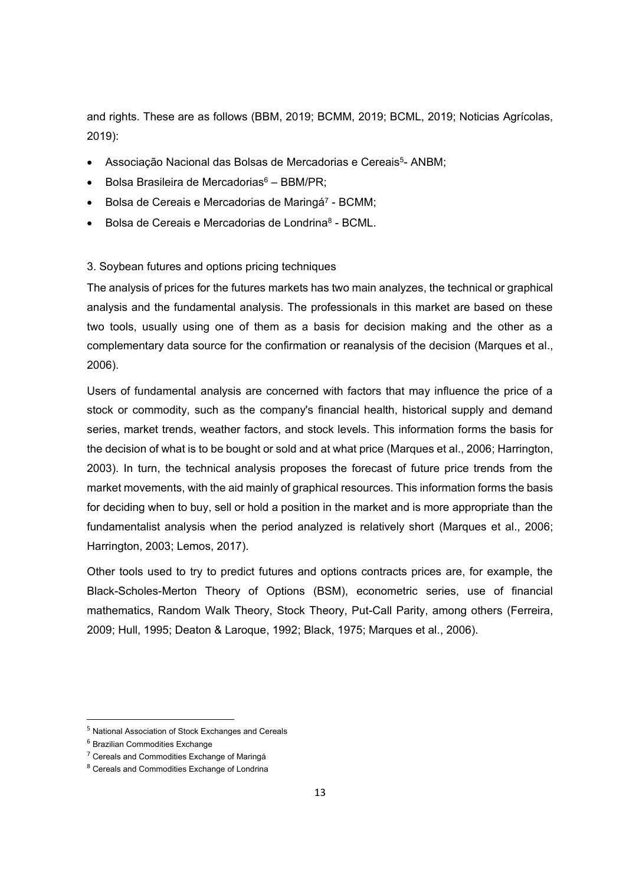and rights. These are as follows (BBM, 2019; BCMM, 2019; BCML, 2019; Noticias Agrícolas, 2019):

- Associação Nacional das Bolsas de Mercadorias e Cereais<sup>5</sup>- ANBM;
- $\bullet$  Bolsa Brasileira de Mercadorias $6 \text{BBM/PR}$ ;
- Bolsa de Cereais e Mercadorias de Maringá<sup>7</sup> BCMM;
- Bolsa de Cereais e Mercadorias de Londrina<sup>8</sup> BCML.

## 3. Soybean futures and options pricing techniques

The analysis of prices for the futures markets has two main analyzes, the technical or graphical analysis and the fundamental analysis. The professionals in this market are based on these two tools, usually using one of them as a basis for decision making and the other as a complementary data source for the confirmation or reanalysis of the decision (Marques et al., 2006).

Users of fundamental analysis are concerned with factors that may influence the price of a stock or commodity, such as the company's financial health, historical supply and demand series, market trends, weather factors, and stock levels. This information forms the basis for the decision of what is to be bought or sold and at what price (Marques et al., 2006; Harrington, 2003). In turn, the technical analysis proposes the forecast of future price trends from the market movements, with the aid mainly of graphical resources. This information forms the basis for deciding when to buy, sell or hold a position in the market and is more appropriate than the fundamentalist analysis when the period analyzed is relatively short (Marques et al., 2006; Harrington, 2003; Lemos, 2017).

Other tools used to try to predict futures and options contracts prices are, for example, the Black-Scholes-Merton Theory of Options (BSM), econometric series, use of financial mathematics, Random Walk Theory, Stock Theory, Put-Call Parity, among others (Ferreira, 2009; Hull, 1995; Deaton & Laroque, 1992; Black, 1975; Marques et al., 2006).

 $\overline{a}$ 

<sup>5</sup> National Association of Stock Exchanges and Cereals

<sup>6</sup> Brazilian Commodities Exchange

<sup>7</sup> Cereals and Commodities Exchange of Maringá

<sup>8</sup> Cereals and Commodities Exchange of Londrina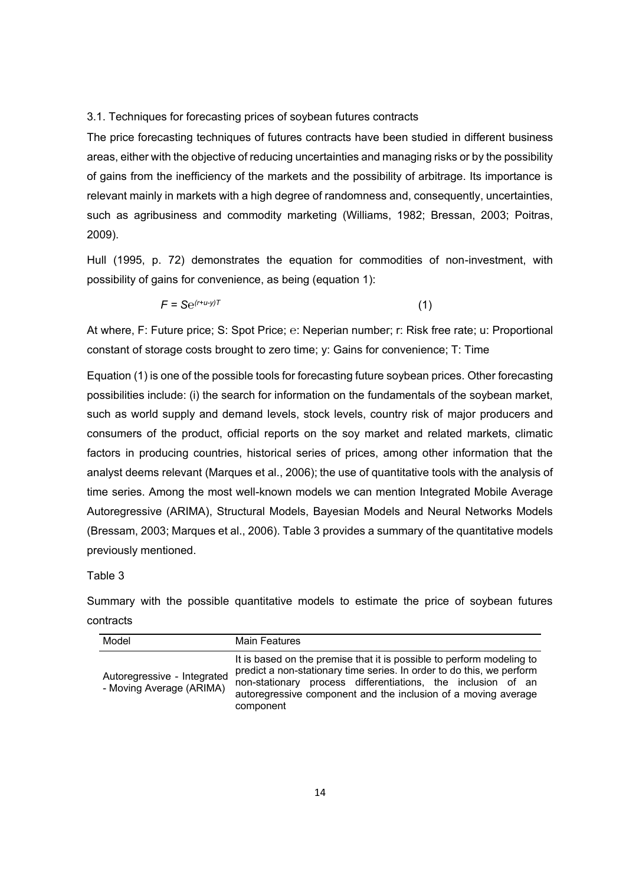#### 3.1. Techniques for forecasting prices of soybean futures contracts

The price forecasting techniques of futures contracts have been studied in different business areas, either with the objective of reducing uncertainties and managing risks or by the possibility of gains from the inefficiency of the markets and the possibility of arbitrage. Its importance is relevant mainly in markets with a high degree of randomness and, consequently, uncertainties, such as agribusiness and commodity marketing (Williams, 1982; Bressan, 2003; Poitras, 2009).

Hull (1995, p. 72) demonstrates the equation for commodities of non-investment, with possibility of gains for convenience, as being (equation 1):

$$
F = \mathbf{S}e^{(r+u-y)T} \tag{1}
$$

At where, F: Future price; S: Spot Price; *℮*: Neperian number; r: Risk free rate; u: Proportional constant of storage costs brought to zero time; y: Gains for convenience; T: Time

Equation (1) is one of the possible tools for forecasting future soybean prices. Other forecasting possibilities include: (i) the search for information on the fundamentals of the soybean market, such as world supply and demand levels, stock levels, country risk of major producers and consumers of the product, official reports on the soy market and related markets, climatic factors in producing countries, historical series of prices, among other information that the analyst deems relevant (Marques et al., 2006); the use of quantitative tools with the analysis of time series. Among the most well-known models we can mention Integrated Mobile Average Autoregressive (ARIMA), Structural Models, Bayesian Models and Neural Networks Models (Bressam, 2003; Marques et al., 2006). Table 3 provides a summary of the quantitative models previously mentioned.

#### Table 3

Summary with the possible quantitative models to estimate the price of soybean futures contracts

| Model                                                   | <b>Main Features</b>                                                                                                                                                                                                                                                                          |
|---------------------------------------------------------|-----------------------------------------------------------------------------------------------------------------------------------------------------------------------------------------------------------------------------------------------------------------------------------------------|
| Autoregressive - Integrated<br>- Moving Average (ARIMA) | It is based on the premise that it is possible to perform modeling to<br>predict a non-stationary time series. In order to do this, we perform<br>non-stationary process differentiations, the inclusion of an<br>autoregressive component and the inclusion of a moving average<br>component |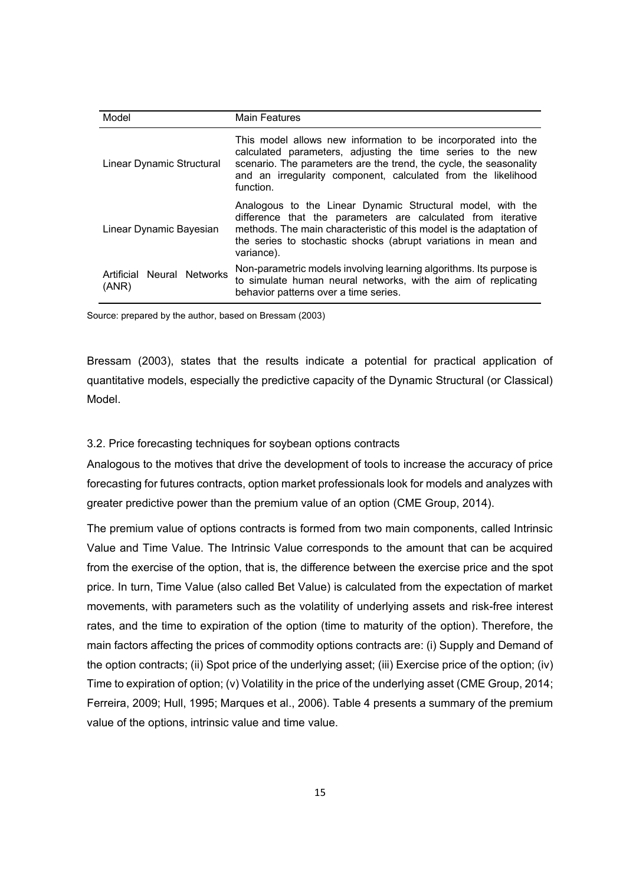| Model                               | <b>Main Features</b>                                                                                                                                                                                                                                                              |  |
|-------------------------------------|-----------------------------------------------------------------------------------------------------------------------------------------------------------------------------------------------------------------------------------------------------------------------------------|--|
| Linear Dynamic Structural           | This model allows new information to be incorporated into the<br>calculated parameters, adjusting the time series to the new<br>scenario. The parameters are the trend, the cycle, the seasonality<br>and an irregularity component, calculated from the likelihood<br>function.  |  |
| Linear Dynamic Bayesian             | Analogous to the Linear Dynamic Structural model, with the<br>difference that the parameters are calculated from iterative<br>methods. The main characteristic of this model is the adaptation of<br>the series to stochastic shocks (abrupt variations in mean and<br>variance). |  |
| Artificial Neural Networks<br>(ANR) | Non-parametric models involving learning algorithms. Its purpose is<br>to simulate human neural networks, with the aim of replicating<br>behavior patterns over a time series.                                                                                                    |  |

Source: prepared by the author, based on Bressam (2003)

Bressam (2003), states that the results indicate a potential for practical application of quantitative models, especially the predictive capacity of the Dynamic Structural (or Classical) Model.

#### 3.2. Price forecasting techniques for soybean options contracts

Analogous to the motives that drive the development of tools to increase the accuracy of price forecasting for futures contracts, option market professionals look for models and analyzes with greater predictive power than the premium value of an option (CME Group, 2014).

The premium value of options contracts is formed from two main components, called Intrinsic Value and Time Value. The Intrinsic Value corresponds to the amount that can be acquired from the exercise of the option, that is, the difference between the exercise price and the spot price. In turn, Time Value (also called Bet Value) is calculated from the expectation of market movements, with parameters such as the volatility of underlying assets and risk-free interest rates, and the time to expiration of the option (time to maturity of the option). Therefore, the main factors affecting the prices of commodity options contracts are: (i) Supply and Demand of the option contracts; (ii) Spot price of the underlying asset; (iii) Exercise price of the option; (iv) Time to expiration of option; (v) Volatility in the price of the underlying asset (CME Group, 2014; Ferreira, 2009; Hull, 1995; Marques et al., 2006). Table 4 presents a summary of the premium value of the options, intrinsic value and time value.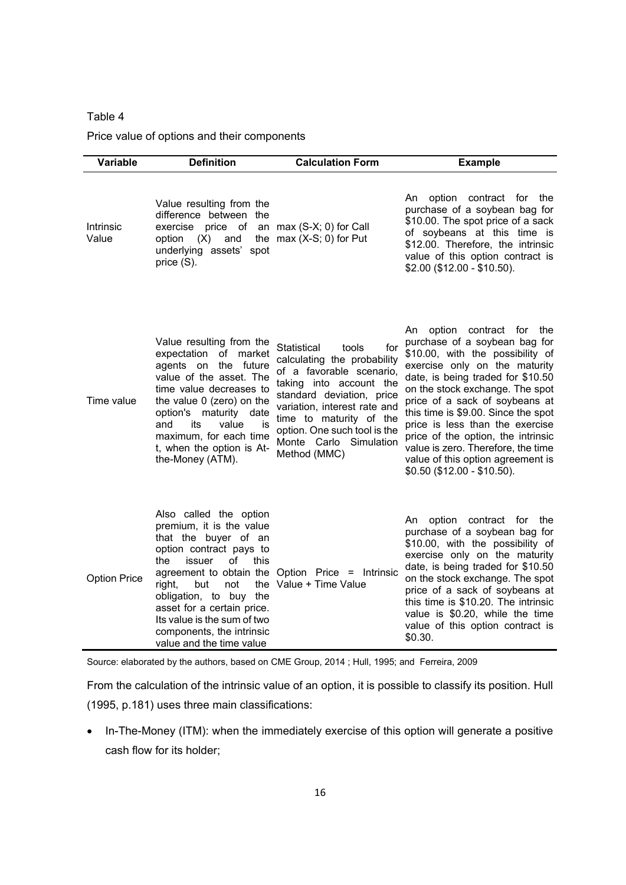## Table 4

Price value of options and their components

| <b>Variable</b>     | <b>Definition</b>                                                                                                                                                                                                                                                                                                                              | <b>Calculation Form</b>                                                                                                                                                                                                                                                             | <b>Example</b>                                                                                                                                                                                                                                                                                                                                                                                                                                                             |
|---------------------|------------------------------------------------------------------------------------------------------------------------------------------------------------------------------------------------------------------------------------------------------------------------------------------------------------------------------------------------|-------------------------------------------------------------------------------------------------------------------------------------------------------------------------------------------------------------------------------------------------------------------------------------|----------------------------------------------------------------------------------------------------------------------------------------------------------------------------------------------------------------------------------------------------------------------------------------------------------------------------------------------------------------------------------------------------------------------------------------------------------------------------|
| Intrinsic<br>Value  | Value resulting from the<br>difference between the<br>exercise price of<br>option<br>(X)<br>and<br>underlying assets'<br>spot<br>price (S).                                                                                                                                                                                                    | an max (S-X; 0) for Call<br>the $max(X-S; 0)$ for Put                                                                                                                                                                                                                               | An<br>option<br>contract for<br>the<br>purchase of a soybean bag for<br>\$10.00. The spot price of a sack<br>of soybeans at this time is<br>\$12.00. Therefore, the intrinsic<br>value of this option contract is<br>\$2.00 (\$12.00 - \$10.50).                                                                                                                                                                                                                           |
| Time value          | Value resulting from the<br>expectation<br>of market<br>agents on the future<br>value of the asset. The<br>time value decreases to<br>the value 0 (zero) on the<br>option's maturity date<br>its<br>and<br>value<br>İS<br>maximum, for each time<br>t, when the option is At-<br>the-Money (ATM).                                              | Statistical<br>tools<br>for<br>calculating the probability<br>of a favorable scenario,<br>taking into account the<br>standard deviation, price<br>variation, interest rate and<br>time to maturity of the<br>option. One such tool is the<br>Monte Carlo Simulation<br>Method (MMC) | option contract for<br>An<br>the<br>purchase of a soybean bag for<br>\$10.00, with the possibility of<br>exercise only on the maturity<br>date, is being traded for \$10.50<br>on the stock exchange. The spot<br>price of a sack of soybeans at<br>this time is \$9.00. Since the spot<br>price is less than the exercise<br>price of the option, the intrinsic<br>value is zero. Therefore, the time<br>value of this option agreement is<br>\$0.50 (\$12.00 - \$10.50). |
| <b>Option Price</b> | Also called the option<br>premium, it is the value<br>that the buyer of an<br>option contract pays to<br>the<br>issuer<br>οf<br>this<br>agreement to obtain the<br>the<br>right,<br>but<br>not<br>obligation, to buy the<br>asset for a certain price.<br>Its value is the sum of two<br>components, the intrinsic<br>value and the time value | Option Price = Intrinsic<br>Value + Time Value                                                                                                                                                                                                                                      | option contract for the<br>An<br>purchase of a soybean bag for<br>\$10.00, with the possibility of<br>exercise only on the maturity<br>date, is being traded for \$10.50<br>on the stock exchange. The spot<br>price of a sack of soybeans at<br>this time is \$10.20. The intrinsic<br>value is \$0.20, while the time<br>value of this option contract is<br>\$0.30.                                                                                                     |

Source: elaborated by the authors, based on CME Group, 2014 ; Hull, 1995; and Ferreira, 2009

From the calculation of the intrinsic value of an option, it is possible to classify its position. Hull (1995, p.181) uses three main classifications:

• In-The-Money (ITM): when the immediately exercise of this option will generate a positive cash flow for its holder;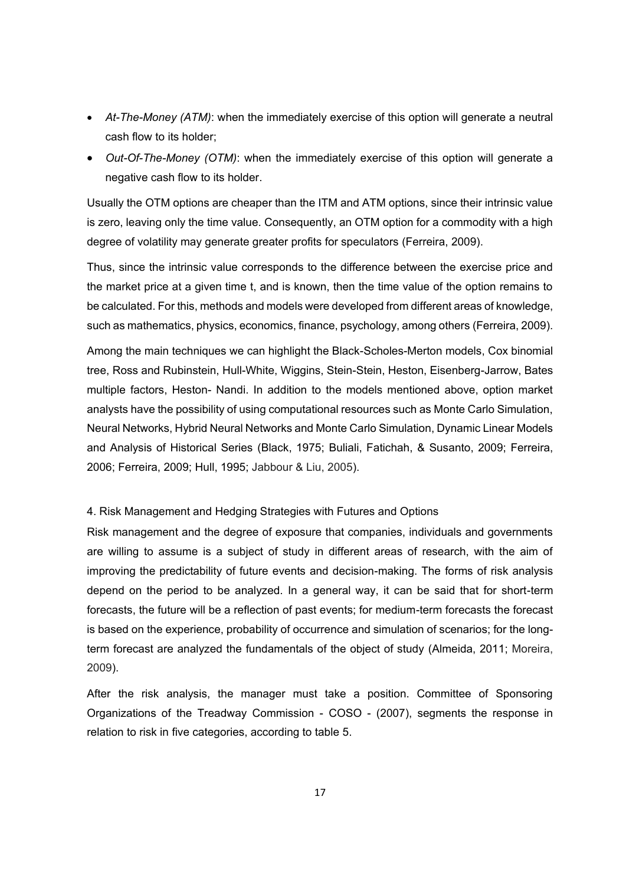- *At-The-Money (ATM)*: when the immediately exercise of this option will generate a neutral cash flow to its holder;
- *Out-Of-The-Money (OTM)*: when the immediately exercise of this option will generate a negative cash flow to its holder.

Usually the OTM options are cheaper than the ITM and ATM options, since their intrinsic value is zero, leaving only the time value. Consequently, an OTM option for a commodity with a high degree of volatility may generate greater profits for speculators (Ferreira, 2009).

Thus, since the intrinsic value corresponds to the difference between the exercise price and the market price at a given time t, and is known, then the time value of the option remains to be calculated. For this, methods and models were developed from different areas of knowledge, such as mathematics, physics, economics, finance, psychology, among others (Ferreira, 2009).

Among the main techniques we can highlight the Black-Scholes-Merton models, Cox binomial tree, Ross and Rubinstein, Hull-White, Wiggins, Stein-Stein, Heston, Eisenberg-Jarrow, Bates multiple factors, Heston- Nandi. In addition to the models mentioned above, option market analysts have the possibility of using computational resources such as Monte Carlo Simulation, Neural Networks, Hybrid Neural Networks and Monte Carlo Simulation, Dynamic Linear Models and Analysis of Historical Series (Black, 1975; Buliali, Fatichah, & Susanto, 2009; Ferreira, 2006; Ferreira, 2009; Hull, 1995; Jabbour & Liu, 2005).

## 4. Risk Management and Hedging Strategies with Futures and Options

Risk management and the degree of exposure that companies, individuals and governments are willing to assume is a subject of study in different areas of research, with the aim of improving the predictability of future events and decision-making. The forms of risk analysis depend on the period to be analyzed. In a general way, it can be said that for short-term forecasts, the future will be a reflection of past events; for medium-term forecasts the forecast is based on the experience, probability of occurrence and simulation of scenarios; for the longterm forecast are analyzed the fundamentals of the object of study (Almeida, 2011; Moreira, 2009).

After the risk analysis, the manager must take a position. Committee of Sponsoring Organizations of the Treadway Commission - COSO - (2007), segments the response in relation to risk in five categories, according to table 5.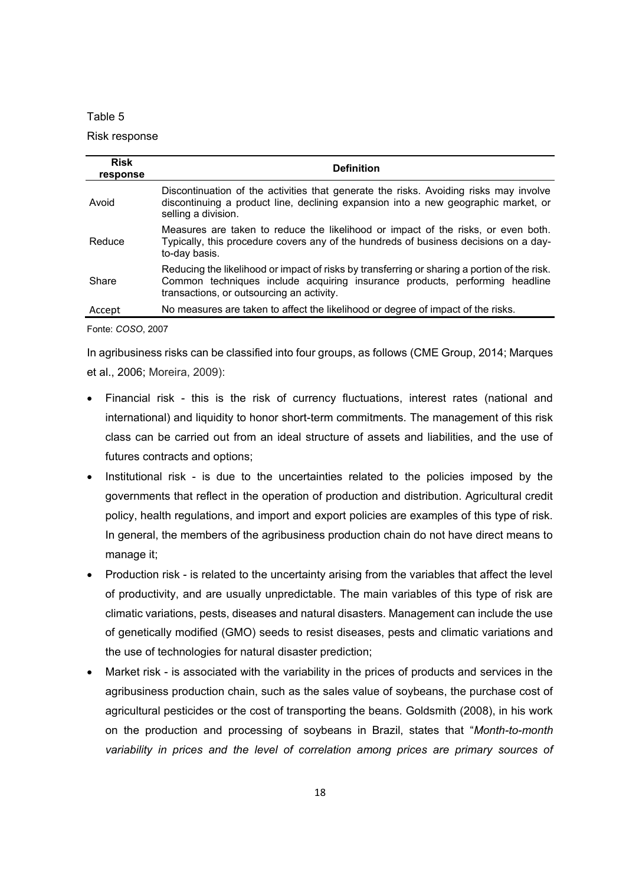#### Table 5

#### Risk response

| <b>Risk</b><br>response | <b>Definition</b>                                                                                                                                                                                                        |
|-------------------------|--------------------------------------------------------------------------------------------------------------------------------------------------------------------------------------------------------------------------|
| Avoid                   | Discontinuation of the activities that generate the risks. Avoiding risks may involve<br>discontinuing a product line, declining expansion into a new geographic market, or<br>selling a division.                       |
| Reduce                  | Measures are taken to reduce the likelihood or impact of the risks, or even both.<br>Typically, this procedure covers any of the hundreds of business decisions on a day-<br>to-day basis.                               |
| Share                   | Reducing the likelihood or impact of risks by transferring or sharing a portion of the risk.<br>Common techniques include acquiring insurance products, performing headline<br>transactions, or outsourcing an activity. |
| Accept                  | No measures are taken to affect the likelihood or degree of impact of the risks.                                                                                                                                         |

Fonte: *COSO*, 2007

In agribusiness risks can be classified into four groups, as follows (CME Group, 2014; Marques et al., 2006; Moreira, 2009):

- Financial risk this is the risk of currency fluctuations, interest rates (national and international) and liquidity to honor short-term commitments. The management of this risk class can be carried out from an ideal structure of assets and liabilities, and the use of futures contracts and options;
- Institutional risk is due to the uncertainties related to the policies imposed by the governments that reflect in the operation of production and distribution. Agricultural credit policy, health regulations, and import and export policies are examples of this type of risk. In general, the members of the agribusiness production chain do not have direct means to manage it;
- Production risk is related to the uncertainty arising from the variables that affect the level of productivity, and are usually unpredictable. The main variables of this type of risk are climatic variations, pests, diseases and natural disasters. Management can include the use of genetically modified (GMO) seeds to resist diseases, pests and climatic variations and the use of technologies for natural disaster prediction;
- Market risk is associated with the variability in the prices of products and services in the agribusiness production chain, such as the sales value of soybeans, the purchase cost of agricultural pesticides or the cost of transporting the beans. Goldsmith (2008), in his work on the production and processing of soybeans in Brazil, states that "*Month-to-month variability in prices and the level of correlation among prices are primary sources of*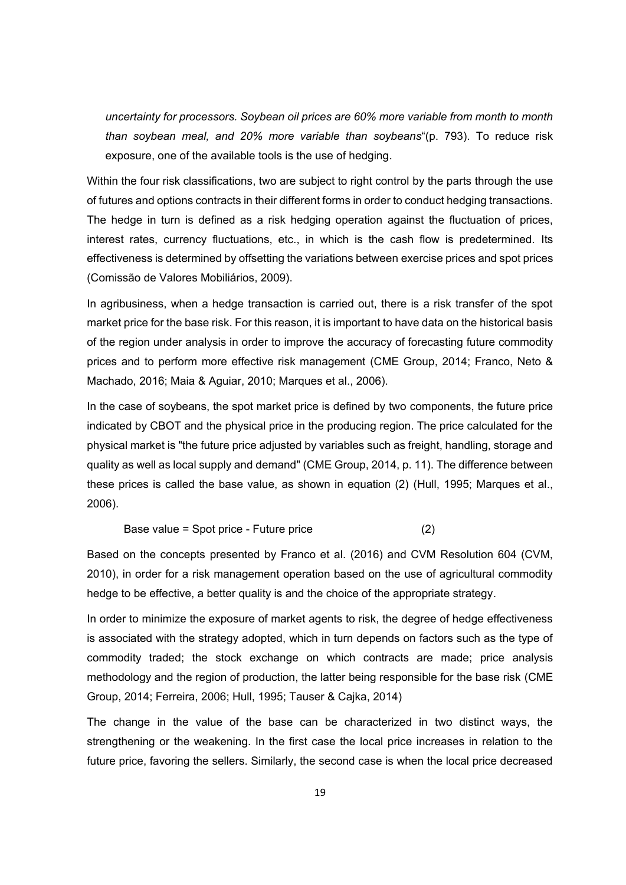*uncertainty for processors. Soybean oil prices are 60% more variable from month to month than soybean meal, and 20% more variable than soybeans*"(p. 793). To reduce risk exposure, one of the available tools is the use of hedging.

Within the four risk classifications, two are subject to right control by the parts through the use of futures and options contracts in their different forms in order to conduct hedging transactions. The hedge in turn is defined as a risk hedging operation against the fluctuation of prices, interest rates, currency fluctuations, etc., in which is the cash flow is predetermined. Its effectiveness is determined by offsetting the variations between exercise prices and spot prices (Comissão de Valores Mobiliários, 2009).

In agribusiness, when a hedge transaction is carried out, there is a risk transfer of the spot market price for the base risk. For this reason, it is important to have data on the historical basis of the region under analysis in order to improve the accuracy of forecasting future commodity prices and to perform more effective risk management (CME Group, 2014; Franco, Neto & Machado, 2016; Maia & Aguiar, 2010; Marques et al., 2006).

In the case of soybeans, the spot market price is defined by two components, the future price indicated by CBOT and the physical price in the producing region. The price calculated for the physical market is "the future price adjusted by variables such as freight, handling, storage and quality as well as local supply and demand" (CME Group, 2014, p. 11). The difference between these prices is called the base value, as shown in equation (2) (Hull, 1995; Marques et al., 2006).

Base value = Spot price - Future price (2)

Based on the concepts presented by Franco et al. (2016) and CVM Resolution 604 (CVM, 2010), in order for a risk management operation based on the use of agricultural commodity hedge to be effective, a better quality is and the choice of the appropriate strategy.

In order to minimize the exposure of market agents to risk, the degree of hedge effectiveness is associated with the strategy adopted, which in turn depends on factors such as the type of commodity traded; the stock exchange on which contracts are made; price analysis methodology and the region of production, the latter being responsible for the base risk (CME Group, 2014; Ferreira, 2006; Hull, 1995; Tauser & Cajka, 2014)

The change in the value of the base can be characterized in two distinct ways, the strengthening or the weakening. In the first case the local price increases in relation to the future price, favoring the sellers. Similarly, the second case is when the local price decreased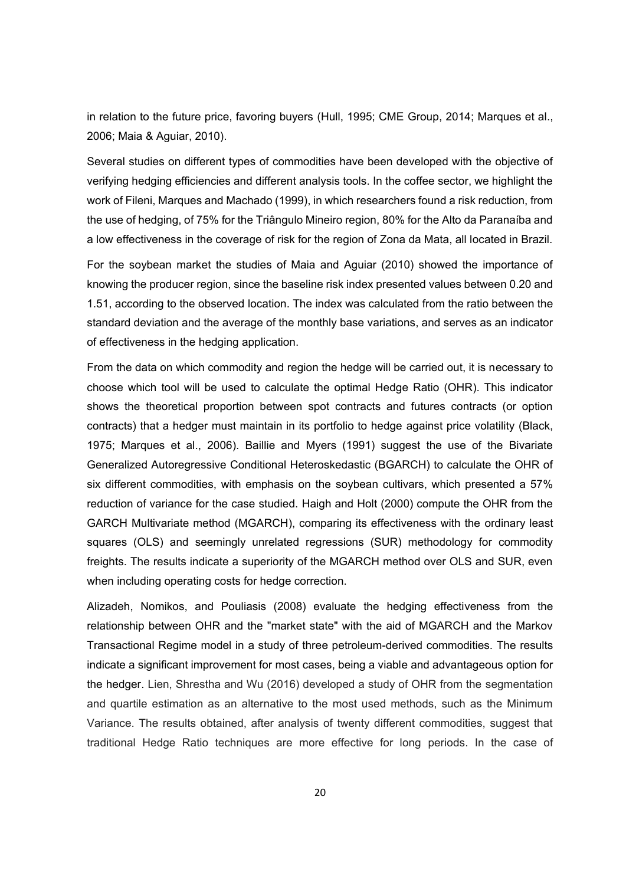in relation to the future price, favoring buyers (Hull, 1995; CME Group, 2014; Marques et al., 2006; Maia & Aguiar, 2010).

Several studies on different types of commodities have been developed with the objective of verifying hedging efficiencies and different analysis tools. In the coffee sector, we highlight the work of Fileni, Marques and Machado (1999), in which researchers found a risk reduction, from the use of hedging, of 75% for the Triângulo Mineiro region, 80% for the Alto da Paranaíba and a low effectiveness in the coverage of risk for the region of Zona da Mata, all located in Brazil.

For the soybean market the studies of Maia and Aguiar (2010) showed the importance of knowing the producer region, since the baseline risk index presented values between 0.20 and 1.51, according to the observed location. The index was calculated from the ratio between the standard deviation and the average of the monthly base variations, and serves as an indicator of effectiveness in the hedging application.

From the data on which commodity and region the hedge will be carried out, it is necessary to choose which tool will be used to calculate the optimal Hedge Ratio (OHR). This indicator shows the theoretical proportion between spot contracts and futures contracts (or option contracts) that a hedger must maintain in its portfolio to hedge against price volatility (Black, 1975; Marques et al., 2006). Baillie and Myers (1991) suggest the use of the Bivariate Generalized Autoregressive Conditional Heteroskedastic (BGARCH) to calculate the OHR of six different commodities, with emphasis on the soybean cultivars, which presented a 57% reduction of variance for the case studied. Haigh and Holt (2000) compute the OHR from the GARCH Multivariate method (MGARCH), comparing its effectiveness with the ordinary least squares (OLS) and seemingly unrelated regressions (SUR) methodology for commodity freights. The results indicate a superiority of the MGARCH method over OLS and SUR, even when including operating costs for hedge correction.

Alizadeh, Nomikos, and Pouliasis (2008) evaluate the hedging effectiveness from the relationship between OHR and the "market state" with the aid of MGARCH and the Markov Transactional Regime model in a study of three petroleum-derived commodities. The results indicate a significant improvement for most cases, being a viable and advantageous option for the hedger. Lien, Shrestha and Wu (2016) developed a study of OHR from the segmentation and quartile estimation as an alternative to the most used methods, such as the Minimum Variance. The results obtained, after analysis of twenty different commodities, suggest that traditional Hedge Ratio techniques are more effective for long periods. In the case of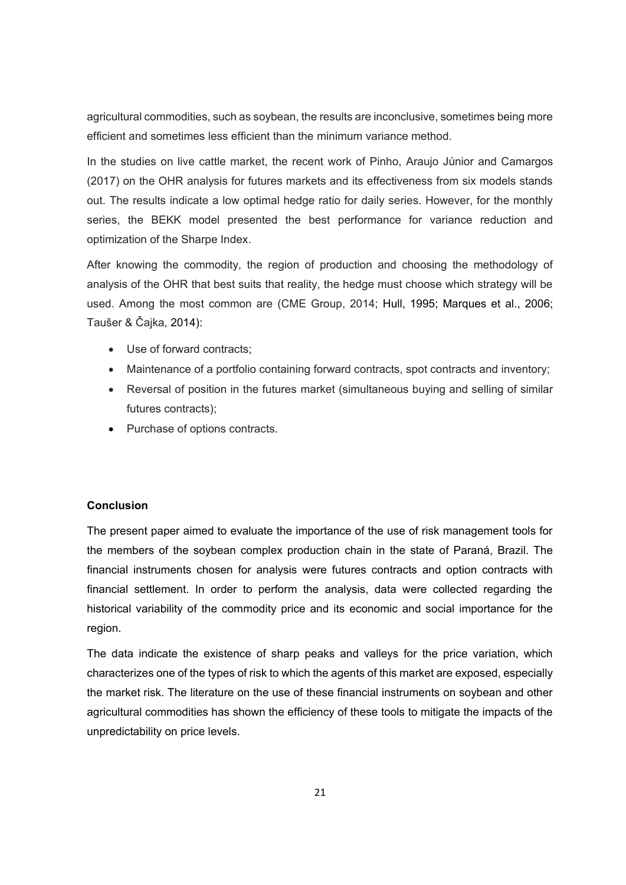agricultural commodities, such as soybean, the results are inconclusive, sometimes being more efficient and sometimes less efficient than the minimum variance method.

In the studies on live cattle market, the recent work of Pinho, Araujo Júnior and Camargos (2017) on the OHR analysis for futures markets and its effectiveness from six models stands out. The results indicate a low optimal hedge ratio for daily series. However, for the monthly series, the BEKK model presented the best performance for variance reduction and optimization of the Sharpe Index.

After knowing the commodity, the region of production and choosing the methodology of analysis of the OHR that best suits that reality, the hedge must choose which strategy will be used. Among the most common are (CME Group, 2014; Hull, 1995; Marques et al., 2006; Taušer & Čajka, 2014):

- Use of forward contracts;
- Maintenance of a portfolio containing forward contracts, spot contracts and inventory;
- Reversal of position in the futures market (simultaneous buying and selling of similar futures contracts);
- Purchase of options contracts.

#### **Conclusion**

The present paper aimed to evaluate the importance of the use of risk management tools for the members of the soybean complex production chain in the state of Paraná, Brazil. The financial instruments chosen for analysis were futures contracts and option contracts with financial settlement. In order to perform the analysis, data were collected regarding the historical variability of the commodity price and its economic and social importance for the region.

The data indicate the existence of sharp peaks and valleys for the price variation, which characterizes one of the types of risk to which the agents of this market are exposed, especially the market risk. The literature on the use of these financial instruments on soybean and other agricultural commodities has shown the efficiency of these tools to mitigate the impacts of the unpredictability on price levels.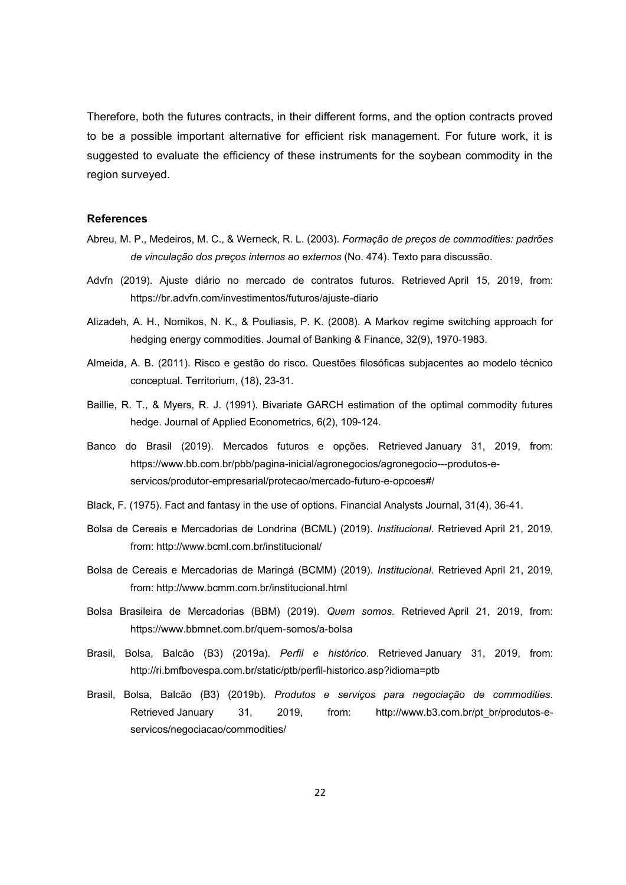Therefore, both the futures contracts, in their different forms, and the option contracts proved to be a possible important alternative for efficient risk management. For future work, it is suggested to evaluate the efficiency of these instruments for the soybean commodity in the region surveyed.

#### **References**

- Abreu, M. P., Medeiros, M. C., & Werneck, R. L. (2003). *Formação de preços de commodities: padrões de vinculação dos preços internos ao externos* (No. 474). Texto para discussão.
- Advfn (2019). Ajuste diário no mercado de contratos futuros. Retrieved April 15, 2019, from: https://br.advfn.com/investimentos/futuros/ajuste-diario
- Alizadeh, A. H., Nomikos, N. K., & Pouliasis, P. K. (2008). A Markov regime switching approach for hedging energy commodities. Journal of Banking & Finance, 32(9), 1970-1983.
- Almeida, A. B. (2011). Risco e gestão do risco. Questões filosóficas subjacentes ao modelo técnico conceptual. Territorium, (18), 23-31.
- Baillie, R. T., & Myers, R. J. (1991). Bivariate GARCH estimation of the optimal commodity futures hedge. Journal of Applied Econometrics, 6(2), 109-124.
- Banco do Brasil (2019). Mercados futuros e opções. Retrieved January 31, 2019, from: https://www.bb.com.br/pbb/pagina-inicial/agronegocios/agronegocio---produtos-eservicos/produtor-empresarial/protecao/mercado-futuro-e-opcoes#/
- Black, F. (1975). Fact and fantasy in the use of options. Financial Analysts Journal, 31(4), 36-41.
- Bolsa de Cereais e Mercadorias de Londrina (BCML) (2019). *Institucional*. Retrieved April 21, 2019, from: http://www.bcml.com.br/institucional/
- Bolsa de Cereais e Mercadorias de Maringá (BCMM) (2019). *Institucional*. Retrieved April 21, 2019, from: http://www.bcmm.com.br/institucional.html
- Bolsa Brasileira de Mercadorias (BBM) (2019). *Quem somos*. Retrieved April 21, 2019, from: https://www.bbmnet.com.br/quem-somos/a-bolsa
- Brasil, Bolsa, Balcão (B3) (2019a). *Perfil e histórico*. Retrieved January 31, 2019, from: http://ri.bmfbovespa.com.br/static/ptb/perfil-historico.asp?idioma=ptb
- Brasil, Bolsa, Balcão (B3) (2019b). *Produtos e serviços para negociação de commodities*. Retrieved January 31, 2019, from: http://www.b3.com.br/pt\_br/produtos-eservicos/negociacao/commodities/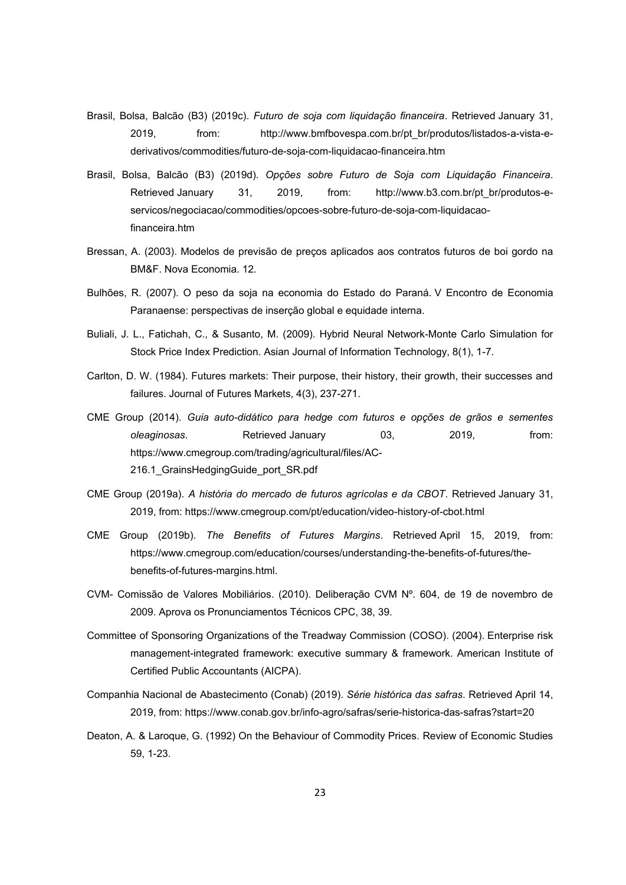- Brasil, Bolsa, Balcão (B3) (2019c). *Futuro de soja com liquidação financeira*. Retrieved January 31, 2019, from: http://www.bmfbovespa.com.br/pt\_br/produtos/listados-a-vista-ederivativos/commodities/futuro-de-soja-com-liquidacao-financeira.htm
- Brasil, Bolsa, Balcão (B3) (2019d). *Opções sobre Futuro de Soja com Liquidação Financeira*. Retrieved January 31, 2019, from: http://www.b3.com.br/pt\_br/produtos-eservicos/negociacao/commodities/opcoes-sobre-futuro-de-soja-com-liquidacaofinanceira.htm
- Bressan, A. (2003). Modelos de previsão de preços aplicados aos contratos futuros de boi gordo na BM&F. Nova Economia. 12.
- Bulhões, R. (2007). O peso da soja na economia do Estado do Paraná. V Encontro de Economia Paranaense: perspectivas de inserção global e equidade interna.
- Buliali, J. L., Fatichah, C., & Susanto, M. (2009). Hybrid Neural Network-Monte Carlo Simulation for Stock Price Index Prediction. Asian Journal of Information Technology, 8(1), 1-7.
- Carlton, D. W. (1984). Futures markets: Their purpose, their history, their growth, their successes and failures. Journal of Futures Markets, 4(3), 237-271.
- CME Group (2014). *Guia auto-didático para hedge com futuros e opções de grãos e sementes oleaginosas*. Retrieved January 03, 2019, from: https://www.cmegroup.com/trading/agricultural/files/AC-216.1\_GrainsHedgingGuide\_port\_SR.pdf
- CME Group (2019a). *A história do mercado de futuros agrícolas e da CBOT*. Retrieved January 31, 2019, from: https://www.cmegroup.com/pt/education/video-history-of-cbot.html
- CME Group (2019b). *The Benefits of Futures Margins*. Retrieved April 15, 2019, from: https://www.cmegroup.com/education/courses/understanding-the-benefits-of-futures/thebenefits-of-futures-margins.html.
- CVM- Comissão de Valores Mobiliários. (2010). Deliberação CVM Nº. 604, de 19 de novembro de 2009. Aprova os Pronunciamentos Técnicos CPC, 38, 39.
- Committee of Sponsoring Organizations of the Treadway Commission (COSO). (2004). Enterprise risk management-integrated framework: executive summary & framework. American Institute of Certified Public Accountants (AICPA).
- Companhia Nacional de Abastecimento (Conab) (2019). *Série histórica das safras*. Retrieved April 14, 2019, from: https://www.conab.gov.br/info-agro/safras/serie-historica-das-safras?start=20
- Deaton, A. & Laroque, G. (1992) On the Behaviour of Commodity Prices. Review of Economic Studies 59, 1-23.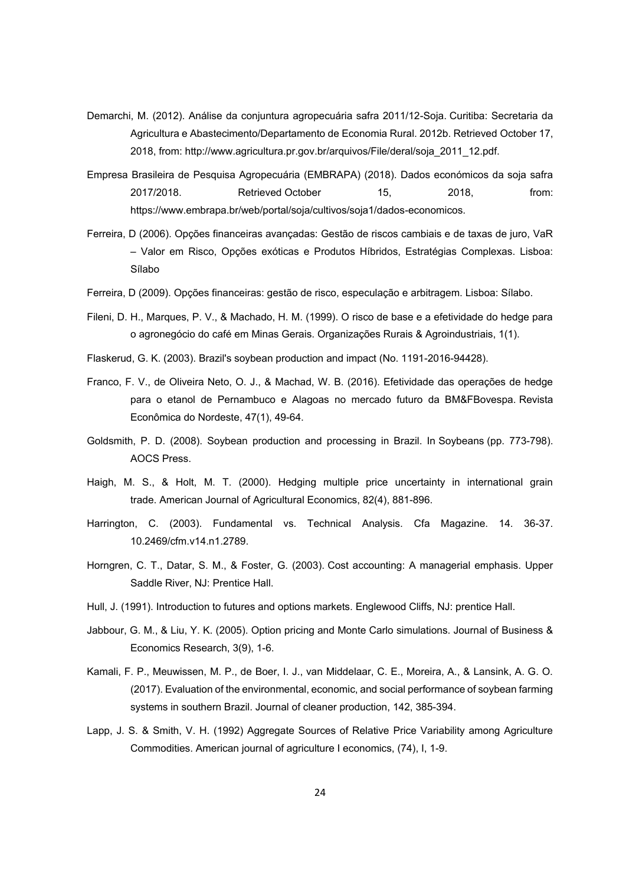- Demarchi, M. (2012). Análise da conjuntura agropecuária safra 2011/12-Soja. Curitiba: Secretaria da Agricultura e Abastecimento/Departamento de Economia Rural. 2012b. Retrieved October 17, 2018, from: http://www.agricultura.pr.gov.br/arquivos/File/deral/soja\_2011\_12.pdf.
- Empresa Brasileira de Pesquisa Agropecuária (EMBRAPA) (2018). Dados económicos da soja safra 2017/2018. Retrieved October 15, 2018, from: https://www.embrapa.br/web/portal/soja/cultivos/soja1/dados-economicos.
- Ferreira, D (2006). Opções financeiras avançadas: Gestão de riscos cambiais e de taxas de juro, VaR – Valor em Risco, Opções exóticas e Produtos Híbridos, Estratégias Complexas. Lisboa: Sílabo
- Ferreira, D (2009). Opções financeiras: gestão de risco, especulação e arbitragem. Lisboa: Sílabo.
- Fileni, D. H., Marques, P. V., & Machado, H. M. (1999). O risco de base e a efetividade do hedge para o agronegócio do café em Minas Gerais. Organizações Rurais & Agroindustriais, 1(1).
- Flaskerud, G. K. (2003). Brazil's soybean production and impact (No. 1191-2016-94428).
- Franco, F. V., de Oliveira Neto, O. J., & Machad, W. B. (2016). Efetividade das operações de hedge para o etanol de Pernambuco e Alagoas no mercado futuro da BM&FBovespa. Revista Econômica do Nordeste, 47(1), 49-64.
- Goldsmith, P. D. (2008). Soybean production and processing in Brazil. In Soybeans (pp. 773-798). AOCS Press.
- Haigh, M. S., & Holt, M. T. (2000). Hedging multiple price uncertainty in international grain trade. American Journal of Agricultural Economics, 82(4), 881-896.
- Harrington, C. (2003). Fundamental vs. Technical Analysis. Cfa Magazine. 14. 36-37. 10.2469/cfm.v14.n1.2789.
- Horngren, C. T., Datar, S. M., & Foster, G. (2003). Cost accounting: A managerial emphasis. Upper Saddle River, NJ: Prentice Hall.
- Hull, J. (1991). Introduction to futures and options markets. Englewood Cliffs, NJ: prentice Hall.
- Jabbour, G. M., & Liu, Y. K. (2005). Option pricing and Monte Carlo simulations. Journal of Business & Economics Research, 3(9), 1-6.
- Kamali, F. P., Meuwissen, M. P., de Boer, I. J., van Middelaar, C. E., Moreira, A., & Lansink, A. G. O. (2017). Evaluation of the environmental, economic, and social performance of soybean farming systems in southern Brazil. Journal of cleaner production, 142, 385-394.
- Lapp, J. S. & Smith, V. H. (1992) Aggregate Sources of Relative Price Variability among Agriculture Commodities. American journal of agriculture I economics, (74), I, 1-9.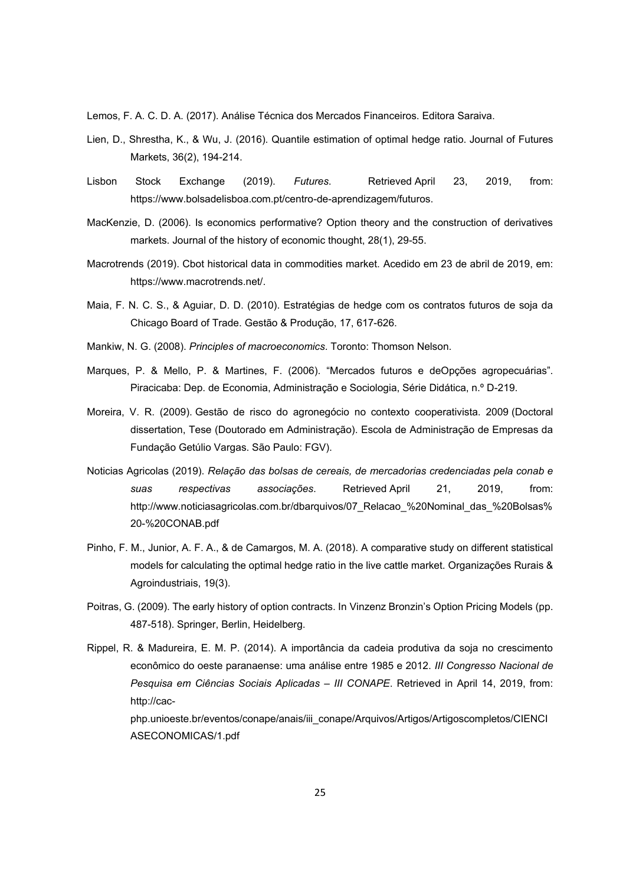Lemos, F. A. C. D. A. (2017). Análise Técnica dos Mercados Financeiros. Editora Saraiva.

- Lien, D., Shrestha, K., & Wu, J. (2016). Quantile estimation of optimal hedge ratio. Journal of Futures Markets, 36(2), 194-214.
- Lisbon Stock Exchange (2019). *Futures*. Retrieved April 23, 2019, from: https://www.bolsadelisboa.com.pt/centro-de-aprendizagem/futuros.
- MacKenzie, D. (2006). Is economics performative? Option theory and the construction of derivatives markets. Journal of the history of economic thought, 28(1), 29-55.
- Macrotrends (2019). Cbot historical data in commodities market. Acedido em 23 de abril de 2019, em: https://www.macrotrends.net/.
- Maia, F. N. C. S., & Aguiar, D. D. (2010). Estratégias de hedge com os contratos futuros de soja da Chicago Board of Trade. Gestão & Produção, 17, 617-626.
- Mankiw, N. G. (2008). *Principles of macroeconomics*. Toronto: Thomson Nelson.
- Marques, P. & Mello, P. & Martines, F. (2006). "Mercados futuros e deOpções agropecuárias". Piracicaba: Dep. de Economia, Administração e Sociologia, Série Didática, n.º D-219.
- Moreira, V. R. (2009). Gestão de risco do agronegócio no contexto cooperativista. 2009 (Doctoral dissertation, Tese (Doutorado em Administração). Escola de Administração de Empresas da Fundação Getúlio Vargas. São Paulo: FGV).
- Noticias Agricolas (2019). *Relação das bolsas de cereais, de mercadorias credenciadas pela conab e suas respectivas associações*. Retrieved April 21, 2019, from: http://www.noticiasagricolas.com.br/dbarquivos/07\_Relacao\_%20Nominal\_das\_%20Bolsas% 20-%20CONAB.pdf
- Pinho, F. M., Junior, A. F. A., & de Camargos, M. A. (2018). A comparative study on different statistical models for calculating the optimal hedge ratio in the live cattle market. Organizações Rurais & Agroindustriais, 19(3).
- Poitras, G. (2009). The early history of option contracts. In Vinzenz Bronzin's Option Pricing Models (pp. 487-518). Springer, Berlin, Heidelberg.

Rippel, R. & Madureira, E. M. P. (2014). A importância da cadeia produtiva da soja no crescimento econômico do oeste paranaense: uma análise entre 1985 e 2012. *III Congresso Nacional de Pesquisa em Ciências Sociais Aplicadas – III CONAPE*. Retrieved in April 14, 2019, from: http://cac-

php.unioeste.br/eventos/conape/anais/iii\_conape/Arquivos/Artigos/Artigoscompletos/CIENCI ASECONOMICAS/1.pdf